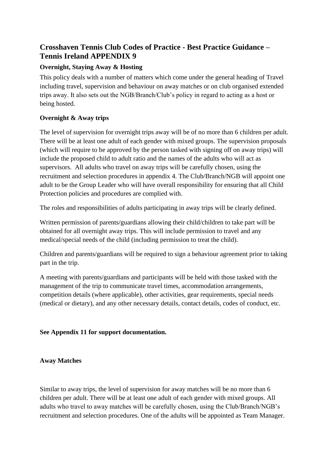# **Crosshaven Tennis Club Codes of Practice - Best Practice Guidance – Tennis Ireland APPENDIX 9**

# **Overnight, Staying Away & Hosting**

This policy deals with a number of matters which come under the general heading of Travel including travel, supervision and behaviour on away matches or on club organised extended trips away. It also sets out the NGB/Branch/Club's policy in regard to acting as a host or being hosted.

# **Overnight & Away trips**

The level of supervision for overnight trips away will be of no more than 6 children per adult. There will be at least one adult of each gender with mixed groups. The supervision proposals (which will require to be approved by the person tasked with signing off on away trips) will include the proposed child to adult ratio and the names of the adults who will act as supervisors. All adults who travel on away trips will be carefully chosen, using the recruitment and selection procedures in appendix 4. The Club/Branch/NGB will appoint one adult to be the Group Leader who will have overall responsibility for ensuring that all Child Protection policies and procedures are complied with.

The roles and responsibilities of adults participating in away trips will be clearly defined.

Written permission of parents/guardians allowing their child/children to take part will be obtained for all overnight away trips. This will include permission to travel and any medical/special needs of the child (including permission to treat the child).

Children and parents/guardians will be required to sign a behaviour agreement prior to taking part in the trip.

A meeting with parents/guardians and participants will be held with those tasked with the management of the trip to communicate travel times, accommodation arrangements, competition details (where applicable), other activities, gear requirements, special needs (medical or dietary), and any other necessary details, contact details, codes of conduct, etc.

# **See Appendix 11 for support documentation.**

# **Away Matches**

Similar to away trips, the level of supervision for away matches will be no more than 6 children per adult. There will be at least one adult of each gender with mixed groups. All adults who travel to away matches will be carefully chosen, using the Club/Branch/NGB's recruitment and selection procedures. One of the adults will be appointed as Team Manager.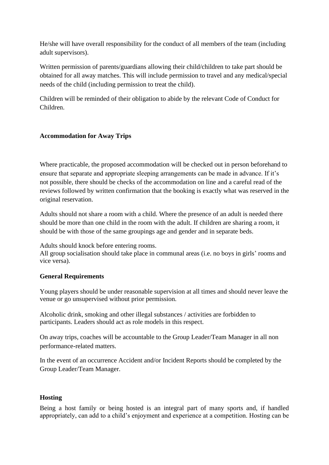He/she will have overall responsibility for the conduct of all members of the team (including adult supervisors).

Written permission of parents/guardians allowing their child/children to take part should be obtained for all away matches. This will include permission to travel and any medical/special needs of the child (including permission to treat the child).

Children will be reminded of their obligation to abide by the relevant Code of Conduct for Children.

## **Accommodation for Away Trips**

Where practicable, the proposed accommodation will be checked out in person beforehand to ensure that separate and appropriate sleeping arrangements can be made in advance. If it's not possible, there should be checks of the accommodation on line and a careful read of the reviews followed by written confirmation that the booking is exactly what was reserved in the original reservation.

Adults should not share a room with a child. Where the presence of an adult is needed there should be more than one child in the room with the adult. If children are sharing a room, it should be with those of the same groupings age and gender and in separate beds.

Adults should knock before entering rooms.

All group socialisation should take place in communal areas (i.e. no boys in girls' rooms and vice versa).

## **General Requirements**

Young players should be under reasonable supervision at all times and should never leave the venue or go unsupervised without prior permission.

Alcoholic drink, smoking and other illegal substances / activities are forbidden to participants. Leaders should act as role models in this respect.

On away trips, coaches will be accountable to the Group Leader/Team Manager in all non performance-related matters.

In the event of an occurrence Accident and/or Incident Reports should be completed by the Group Leader/Team Manager.

# **Hosting**

Being a host family or being hosted is an integral part of many sports and, if handled appropriately, can add to a child's enjoyment and experience at a competition. Hosting can be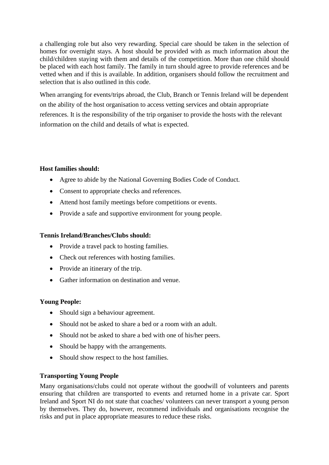a challenging role but also very rewarding. Special care should be taken in the selection of homes for overnight stays. A host should be provided with as much information about the child/children staying with them and details of the competition. More than one child should be placed with each host family. The family in turn should agree to provide references and be vetted when and if this is available. In addition, organisers should follow the recruitment and selection that is also outlined in this code.

When arranging for events/trips abroad, the Club, Branch or Tennis Ireland will be dependent on the ability of the host organisation to access vetting services and obtain appropriate references. It is the responsibility of the trip organiser to provide the hosts with the relevant information on the child and details of what is expected.

## **Host families should:**

- Agree to abide by the National Governing Bodies Code of Conduct.
- Consent to appropriate checks and references.
- Attend host family meetings before competitions or events.
- Provide a safe and supportive environment for young people.

# **Tennis Ireland/Branches/Clubs should:**

- Provide a travel pack to hosting families.
- Check out references with hosting families.
- Provide an itinerary of the trip.
- Gather information on destination and venue.

# **Young People:**

- Should sign a behaviour agreement.
- Should not be asked to share a bed or a room with an adult.
- Should not be asked to share a bed with one of his/her peers.
- Should be happy with the arrangements.
- Should show respect to the host families.

# **Transporting Young People**

Many organisations/clubs could not operate without the goodwill of volunteers and parents ensuring that children are transported to events and returned home in a private car. Sport Ireland and Sport NI do not state that coaches/ volunteers can never transport a young person by themselves. They do, however, recommend individuals and organisations recognise the risks and put in place appropriate measures to reduce these risks.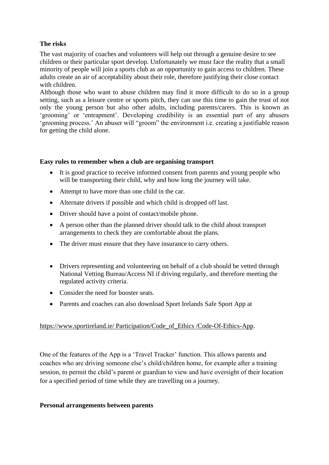## **The risks**

The vast majority of coaches and volunteers will help out through a genuine desire to see children or their particular sport develop. Unfortunately we must face the reality that a small minority of people will join a sports club as an opportunity to gain access to children. These adults create an air of acceptability about their role, therefore justifying their close contact with children.

Although those who want to abuse children may find it more difficult to do so in a group setting, such as a leisure centre or sports pitch, they can use this time to gain the trust of not only the young person but also other adults, including parents/carers. This is known as 'grooming' or 'entrapment'. Developing credibility is an essential part of any abusers 'grooming process.' An abuser will "groom" the environment i.e. creating a justifiable reason for getting the child alone.

#### **Easy rules to remember when a club are organising transport**

- It is good practice to receive informed consent from parents and young people who will be transporting their child, why and how long the journey will take.
- Attempt to have more than one child in the car.
- Alternate drivers if possible and which child is dropped off last.
- Driver should have a point of contact/mobile phone.
- A person other than the planned driver should talk to the child about transport arrangements to check they are comfortable about the plans.
- The driver must ensure that they have insurance to carry others.
- Drivers representing and volunteering on behalf of a club should be vetted through National Vetting Bureau/Access NI if driving regularly, and therefore meeting the regulated activity criteria.
- Consider the need for booster seats.
- Parents and coaches can also download Sport Irelands Safe Sport App at

## https://www.sportireland.ie/ Participation/Code\_of\_Ethics /Code-Of-Ethics-App.

One of the features of the App is a 'Travel Tracker' function. This allows parents and coaches who are driving someone else's child/children home, for example after a training session, to permit the child's parent or guardian to view and have oversight of their location for a specified period of time while they are travelling on a journey.

## **Personal arrangements between parents**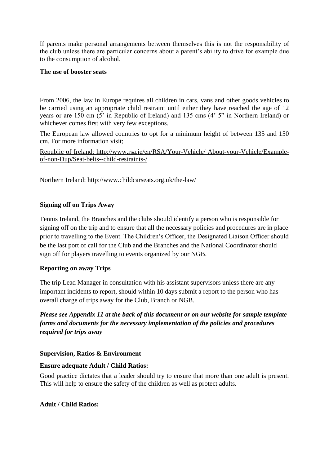If parents make personal arrangements between themselves this is not the responsibility of the club unless there are particular concerns about a parent's ability to drive for example due to the consumption of alcohol.

## **The use of booster seats**

From 2006, the law in Europe requires all children in cars, vans and other goods vehicles to be carried using an appropriate child restraint until either they have reached the age of 12 years or are 150 cm (5' in Republic of Ireland) and 135 cms (4' 5" in Northern Ireland) or whichever comes first with very few exceptions.

The European law allowed countries to opt for a minimum height of between 135 and 150 cm. For more information visit;

Republic of Ireland: http://www.rsa.ie/en/RSA/Your-Vehicle/ About-your-Vehicle/Exampleof-non-Dup/Seat-belts--child-restraints-/

Northern Ireland: http://www.childcarseats.org.uk/the-law/

## **Signing off on Trips Away**

Tennis Ireland, the Branches and the clubs should identify a person who is responsible for signing off on the trip and to ensure that all the necessary policies and procedures are in place prior to travelling to the Event. The Children's Officer, the Designated Liaison Officer should be the last port of call for the Club and the Branches and the National Coordinator should sign off for players travelling to events organized by our NGB.

## **Reporting on away Trips**

The trip Lead Manager in consultation with his assistant supervisors unless there are any important incidents to report, should within 10 days submit a report to the person who has overall charge of trips away for the Club, Branch or NGB.

*Please see Appendix 11 at the back of this document or on our website for sample template forms and documents for the necessary implementation of the policies and procedures required for trips away* 

## **Supervision, Ratios & Environment**

## **Ensure adequate Adult / Child Ratios:**

Good practice dictates that a leader should try to ensure that more than one adult is present. This will help to ensure the safety of the children as well as protect adults.

## **Adult / Child Ratios:**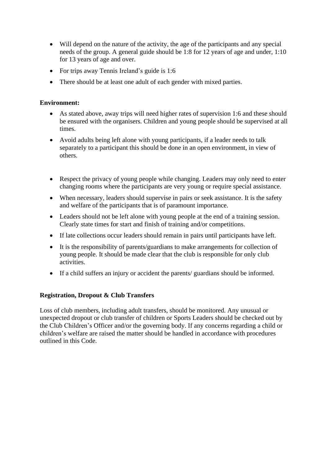- Will depend on the nature of the activity, the age of the participants and any special needs of the group. A general guide should be 1:8 for 12 years of age and under, 1:10 for 13 years of age and over.
- For trips away Tennis Ireland's guide is 1:6
- There should be at least one adult of each gender with mixed parties.

## **Environment:**

- As stated above, away trips will need higher rates of supervision 1:6 and these should be ensured with the organisers. Children and young people should be supervised at all times.
- Avoid adults being left alone with young participants, if a leader needs to talk separately to a participant this should be done in an open environment, in view of others.
- Respect the privacy of young people while changing. Leaders may only need to enter changing rooms where the participants are very young or require special assistance.
- When necessary, leaders should supervise in pairs or seek assistance. It is the safety and welfare of the participants that is of paramount importance.
- Leaders should not be left alone with young people at the end of a training session. Clearly state times for start and finish of training and/or competitions.
- If late collections occur leaders should remain in pairs until participants have left.
- It is the responsibility of parents/guardians to make arrangements for collection of young people. It should be made clear that the club is responsible for only club activities.
- If a child suffers an injury or accident the parents/ guardians should be informed.

## **Registration, Dropout & Club Transfers**

Loss of club members, including adult transfers, should be monitored. Any unusual or unexpected dropout or club transfer of children or Sports Leaders should be checked out by the Club Children's Officer and/or the governing body. If any concerns regarding a child or children's welfare are raised the matter should be handled in accordance with procedures outlined in this Code.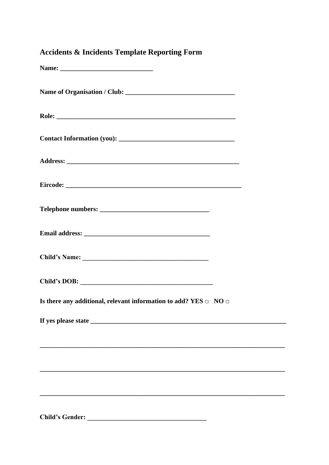| <b>Accidents &amp; Incidents Template Reporting Form</b>                   |  |
|----------------------------------------------------------------------------|--|
|                                                                            |  |
|                                                                            |  |
|                                                                            |  |
|                                                                            |  |
|                                                                            |  |
|                                                                            |  |
|                                                                            |  |
|                                                                            |  |
|                                                                            |  |
|                                                                            |  |
| Is there any additional, relevant information to add? YES $\Box$ NO $\Box$ |  |
|                                                                            |  |
|                                                                            |  |
|                                                                            |  |
|                                                                            |  |
|                                                                            |  |
| <b>Child's Gender:</b>                                                     |  |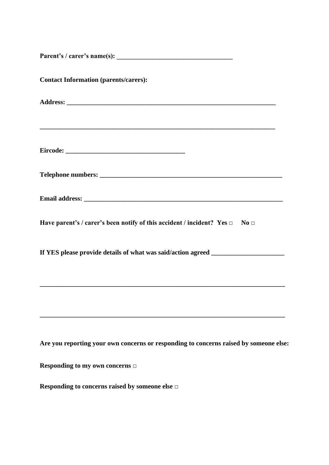| <b>Contact Information (parents/carers):</b>                                          |
|---------------------------------------------------------------------------------------|
|                                                                                       |
|                                                                                       |
|                                                                                       |
|                                                                                       |
| Have parent's / carer's been notify of this accident / incident? Yes $\Box$ No $\Box$ |
| If YES please provide details of what was said/action agreed ___________________      |
|                                                                                       |
| Are you reporting your own concerns or responding to concerns raised by someone else: |
| Responding to my own concerns $\Box$                                                  |
| Responding to concerns raised by someone else $\Box$                                  |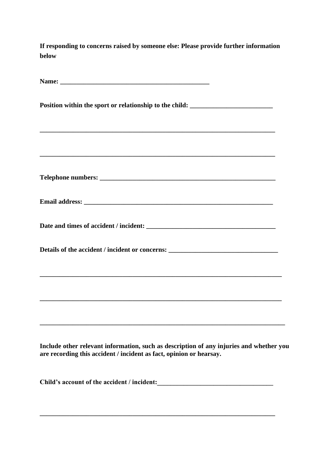**If responding to concerns raised by someone else: Please provide further information below**

| Position within the sport or relationship to the child: _________________________                                     |
|-----------------------------------------------------------------------------------------------------------------------|
| <u> 1989 - Johann John Stone, mensk politik en oantal fan de fan de fan de fan de fan de fan de fan de fan de fan</u> |
|                                                                                                                       |
|                                                                                                                       |
|                                                                                                                       |
| Details of the accident / incident or concerns: _________________________________                                     |
|                                                                                                                       |
|                                                                                                                       |
|                                                                                                                       |

**Include other relevant information, such as description of any injuries and whether you are recording this accident / incident as fact, opinion or hearsay.** 

**Child's account of the accident / incident:\_\_\_\_\_\_\_\_\_\_\_\_\_\_\_\_\_\_\_\_\_\_\_\_\_\_\_\_\_\_\_\_\_\_\_** 

**\_\_\_\_\_\_\_\_\_\_\_\_\_\_\_\_\_\_\_\_\_\_\_\_\_\_\_\_\_\_\_\_\_\_\_\_\_\_\_\_\_\_\_\_\_\_\_\_\_\_\_\_\_\_\_\_\_\_\_\_\_\_\_\_\_\_\_\_\_\_\_**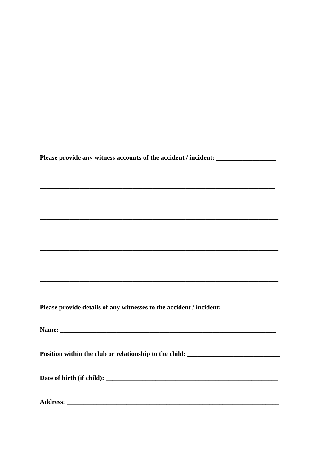Please provide any witness accounts of the accident / incident: \_\_\_\_\_\_\_\_\_\_\_\_\_\_\_\_

Please provide details of any witnesses to the accident / incident:

Name:

Position within the club or relationship to the child: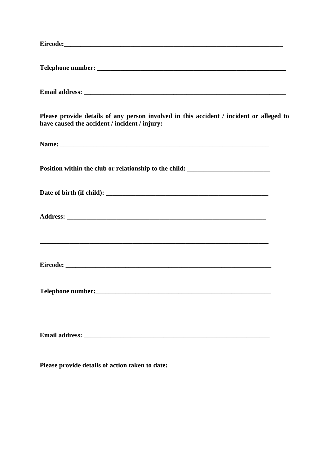| Please provide details of any person involved in this accident / incident or alleged to<br>have caused the accident / incident / injury:                                                                                       |
|--------------------------------------------------------------------------------------------------------------------------------------------------------------------------------------------------------------------------------|
|                                                                                                                                                                                                                                |
| Position within the club or relationship to the child: __________________________                                                                                                                                              |
|                                                                                                                                                                                                                                |
|                                                                                                                                                                                                                                |
| ,我们也不会有什么。""我们的人,我们也不会有什么?""我们的人,我们也不会有什么?""我们的人,我们也不会有什么?""我们的人,我们也不会有什么?""我们的人                                                                                                                                               |
| Telephone number: New York Changes and Security and Security and Security and Security and Security and Security and Security and Security and Security and Security and Security and Security and Security and Security and S |
| Email address: Note and the set of the set of the set of the set of the set of the set of the set of the set of the set of the set of the set of the set of the set of the set of the set of the set of the set of the set of  |
| Please provide details of action taken to date: ________________________________                                                                                                                                               |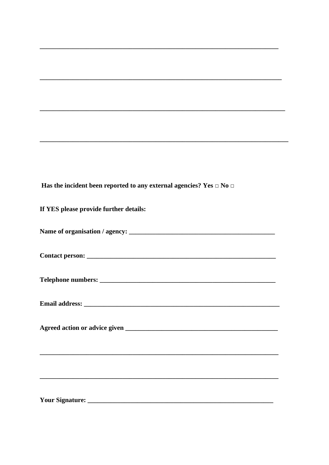Has the incident been reported to any external agencies? Yes  $\Box$  No  $\Box$ 

| If YES please provide further details:                                                                                                                                                                                        |
|-------------------------------------------------------------------------------------------------------------------------------------------------------------------------------------------------------------------------------|
|                                                                                                                                                                                                                               |
|                                                                                                                                                                                                                               |
|                                                                                                                                                                                                                               |
| Email address: Note and the set of the set of the set of the set of the set of the set of the set of the set of the set of the set of the set of the set of the set of the set of the set of the set of the set of the set of |
|                                                                                                                                                                                                                               |
|                                                                                                                                                                                                                               |
|                                                                                                                                                                                                                               |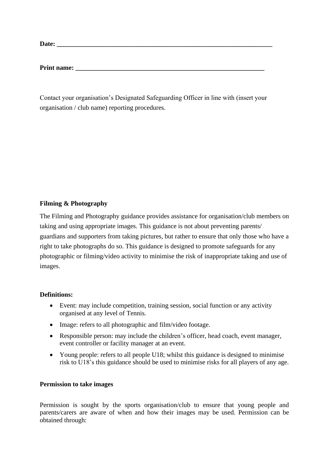**Date: \_\_\_\_\_\_\_\_\_\_\_\_\_\_\_\_\_\_\_\_\_\_\_\_\_\_\_\_\_\_\_\_\_\_\_\_\_\_\_\_\_\_\_\_\_\_\_\_\_\_\_\_\_\_\_\_\_\_\_\_\_\_\_\_\_**

**Print name: \_\_\_\_\_\_\_\_\_\_\_\_\_\_\_\_\_\_\_\_\_\_\_\_\_\_\_\_\_\_\_\_\_\_\_\_\_\_\_\_\_\_\_\_\_\_\_\_\_\_\_\_\_\_\_\_\_**

Contact your organisation's Designated Safeguarding Officer in line with (insert your organisation / club name) reporting procedures.

## **Filming & Photography**

The Filming and Photography guidance provides assistance for organisation/club members on taking and using appropriate images. This guidance is not about preventing parents/ guardians and supporters from taking pictures, but rather to ensure that only those who have a right to take photographs do so. This guidance is designed to promote safeguards for any photographic or filming/video activity to minimise the risk of inappropriate taking and use of images.

## **Definitions:**

- Event: may include competition, training session, social function or any activity organised at any level of Tennis*.*
- Image: refers to all photographic and film/video footage.
- Responsible person: may include the children's officer, head coach, event manager, event controller or facility manager at an event.
- Young people: refers to all people U18; whilst this guidance is designed to minimise risk to U18's this guidance should be used to minimise risks for all players of any age.

## **Permission to take images**

Permission is sought by the sports organisation/club to ensure that young people and parents/carers are aware of when and how their images may be used. Permission can be obtained through: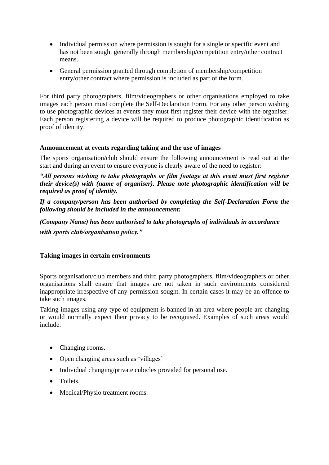- Individual permission where permission is sought for a single or specific event and has not been sought generally through membership/competition entry/other contract means.
- General permission granted through completion of membership/competition entry/other contract where permission is included as part of the form.

For third party photographers, film/videographers or other organisations employed to take images each person must complete the Self-Declaration Form. For any other person wishing to use photographic devices at events they must first register their device with the organiser. Each person registering a device will be required to produce photographic identification as proof of identity.

#### **Announcement at events regarding taking and the use of images**

The sports organisation/club should ensure the following announcement is read out at the start and during an event to ensure everyone is clearly aware of the need to register:

*"All persons wishing to take photographs or film footage at this event must first register their device(s) with (name of organiser). Please note photographic identification will be required as proof of identity.* 

*If a company/person has been authorised by completing the Self-Declaration Form the following should be included in the announcement:* 

*(Company Name) has been authorised to take photographs of individuals in accordance with sports club/organisation policy."*

#### **Taking images in certain environments**

Sports organisation/club members and third party photographers, film/videographers or other organisations shall ensure that images are not taken in such environments considered inappropriate irrespective of any permission sought. In certain cases it may be an offence to take such images.

Taking images using any type of equipment is banned in an area where people are changing or would normally expect their privacy to be recognised. Examples of such areas would include:

- Changing rooms.
- Open changing areas such as 'villages'
- Individual changing/private cubicles provided for personal use.
- Toilets.
- Medical/Physio treatment rooms.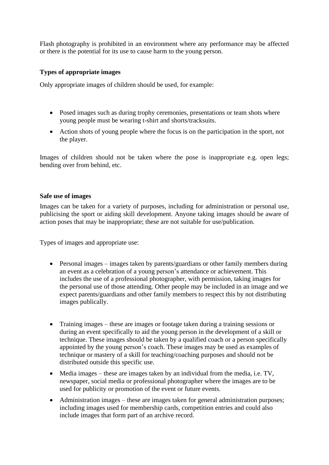Flash photography is prohibited in an environment where any performance may be affected or there is the potential for its use to cause harm to the young person.

#### **Types of appropriate images**

Only appropriate images of children should be used, for example:

- Posed images such as during trophy ceremonies, presentations or team shots where young people must be wearing t-shirt and shorts/tracksuits.
- Action shots of young people where the focus is on the participation in the sport, not the player.

Images of children should not be taken where the pose is inappropriate e.g. open legs; bending over from behind, etc.

#### **Safe use of images**

Images can be taken for a variety of purposes, including for administration or personal use, publicising the sport or aiding skill development. Anyone taking images should be aware of action poses that may be inappropriate; these are not suitable for use/publication.

Types of images and appropriate use:

- Personal images images taken by parents/guardians or other family members during an event as a celebration of a young person's attendance or achievement. This includes the use of a professional photographer, with permission, taking images for the personal use of those attending. Other people may be included in an image and we expect parents/guardians and other family members to respect this by not distributing images publically.
- Training images these are images or footage taken during a training sessions or during an event specifically to aid the young person in the development of a skill or technique. These images should be taken by a qualified coach or a person specifically appointed by the young person's coach. These images may be used as examples of technique or mastery of a skill for teaching/coaching purposes and should not be distributed outside this specific use.
- Media images these are images taken by an individual from the media, i.e. TV, newspaper, social media or professional photographer where the images are to be used for publicity or promotion of the event or future events.
- Administration images these are images taken for general administration purposes; including images used for membership cards, competition entries and could also include images that form part of an archive record.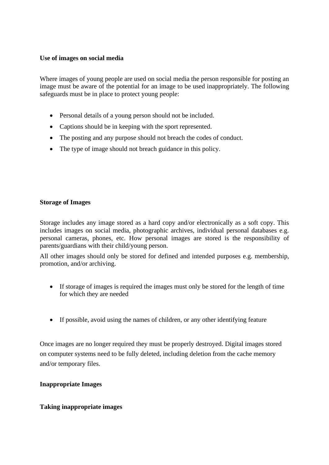#### **Use of images on social media**

Where images of young people are used on social media the person responsible for posting an image must be aware of the potential for an image to be used inappropriately. The following safeguards must be in place to protect young people:

- Personal details of a young person should not be included.
- Captions should be in keeping with the sport represented.
- The posting and any purpose should not breach the codes of conduct.
- The type of image should not breach guidance in this policy.

#### **Storage of Images**

Storage includes any image stored as a hard copy and/or electronically as a soft copy. This includes images on social media, photographic archives, individual personal databases e.g. personal cameras, phones, etc. How personal images are stored is the responsibility of parents/guardians with their child/young person.

All other images should only be stored for defined and intended purposes e.g. membership, promotion, and/or archiving.

- If storage of images is required the images must only be stored for the length of time for which they are needed
- If possible, avoid using the names of children, or any other identifying feature

Once images are no longer required they must be properly destroyed. Digital images stored on computer systems need to be fully deleted, including deletion from the cache memory and/or temporary files.

## **Inappropriate Images**

## **Taking inappropriate images**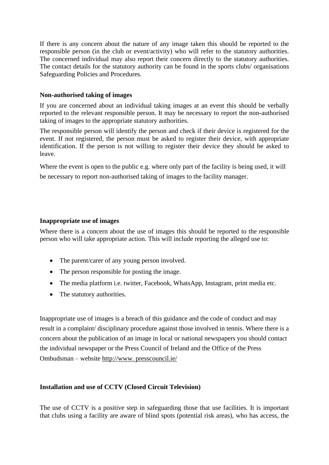If there is any concern about the nature of any image taken this should be reported to the responsible person (in the club or event/activity) who will refer to the statutory authorities. The concerned individual may also report their concern directly to the statutory authorities. The contact details for the statutory authority can be found in the sports clubs/ organisations Safeguarding Policies and Procedures.

#### **Non-authorised taking of images**

If you are concerned about an individual taking images at an event this should be verbally reported to the relevant responsible person. It may be necessary to report the non-authorised taking of images to the appropriate statutory authorities.

The responsible person will identify the person and check if their device is registered for the event. If not registered, the person must be asked to register their device, with appropriate identification. If the person is not willing to register their device they should be asked to leave.

Where the event is open to the public e.g. where only part of the facility is being used, it will be necessary to report non-authorised taking of images to the facility manager.

#### **Inappropriate use of images**

Where there is a concern about the use of images this should be reported to the responsible person who will take appropriate action. This will include reporting the alleged use to:

- The parent/carer of any young person involved.
- The person responsible for posting the image.
- The media platform i.e. twitter, Facebook, WhatsApp, Instagram, print media etc.
- The statutory authorities.

Inappropriate use of images is a breach of this guidance and the code of conduct and may result in a complaint/ disciplinary procedure against those involved in tennis. Where there is a concern about the publication of an image in local or national newspapers you should contact the individual newspaper or the Press Council of Ireland and the Office of the Press Ombudsman – website http://www. presscouncil.ie/

## **Installation and use of CCTV (Closed Circuit Television)**

The use of CCTV is a positive step in safeguarding those that use facilities. It is important that clubs using a facility are aware of blind spots (potential risk areas), who has access, the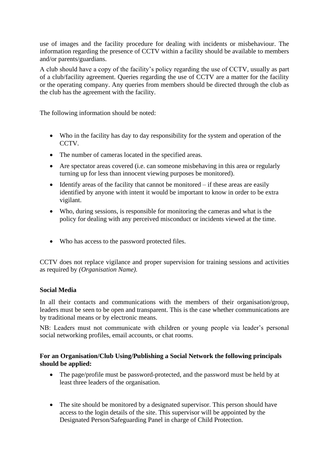use of images and the facility procedure for dealing with incidents or misbehaviour. The information regarding the presence of CCTV within a facility should be available to members and/or parents/guardians.

A club should have a copy of the facility's policy regarding the use of CCTV, usually as part of a club/facility agreement. Queries regarding the use of CCTV are a matter for the facility or the operating company. Any queries from members should be directed through the club as the club has the agreement with the facility.

The following information should be noted:

- Who in the facility has day to day responsibility for the system and operation of the CCTV.
- The number of cameras located in the specified areas.
- Are spectator areas covered (i.e. can someone misbehaving in this area or regularly turning up for less than innocent viewing purposes be monitored).
- $\bullet$  Identify areas of the facility that cannot be monitored if these areas are easily identified by anyone with intent it would be important to know in order to be extra vigilant.
- Who, during sessions, is responsible for monitoring the cameras and what is the policy for dealing with any perceived misconduct or incidents viewed at the time.
- Who has access to the password protected files.

CCTV does not replace vigilance and proper supervision for training sessions and activities as required by *(Organisation Name).* 

## **Social Media**

In all their contacts and communications with the members of their organisation/group, leaders must be seen to be open and transparent. This is the case whether communications are by traditional means or by electronic means.

NB: Leaders must not communicate with children or young people via leader's personal social networking profiles, email accounts, or chat rooms.

## **For an Organisation/Club Using/Publishing a Social Network the following principals should be applied:**

- The page/profile must be password-protected, and the password must be held by at least three leaders of the organisation.
- The site should be monitored by a designated supervisor. This person should have access to the login details of the site. This supervisor will be appointed by the Designated Person/Safeguarding Panel in charge of Child Protection.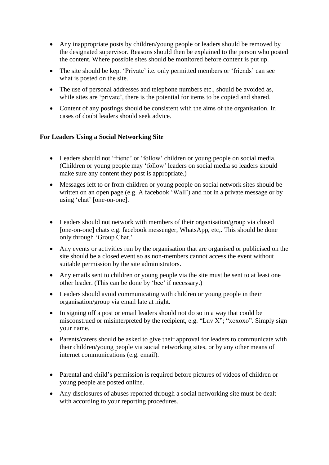- Any inappropriate posts by children/young people or leaders should be removed by the designated supervisor. Reasons should then be explained to the person who posted the content. Where possible sites should be monitored before content is put up.
- The site should be kept 'Private' i.e. only permitted members or 'friends' can see what is posted on the site.
- The use of personal addresses and telephone numbers etc., should be avoided as, while sites are 'private', there is the potential for items to be copied and shared.
- Content of any postings should be consistent with the aims of the organisation. In cases of doubt leaders should seek advice.

## **For Leaders Using a Social Networking Site**

- Leaders should not 'friend' or 'follow' children or young people on social media. (Children or young people may 'follow' leaders on social media so leaders should make sure any content they post is appropriate.)
- Messages left to or from children or young people on social network sites should be written on an open page (e.g. A facebook 'Wall') and not in a private message or by using 'chat' [one-on-one].
- Leaders should not network with members of their organisation/group via closed [one-on-one] chats e.g. facebook messenger, WhatsApp, etc,. This should be done only through 'Group Chat.'
- Any events or activities run by the organisation that are organised or publicised on the site should be a closed event so as non-members cannot access the event without suitable permission by the site administrators.
- Any emails sent to children or young people via the site must be sent to at least one other leader. (This can be done by 'bcc' if necessary.)
- Leaders should avoid communicating with children or young people in their organisation/group via email late at night.
- In signing off a post or email leaders should not do so in a way that could be misconstrued or misinterpreted by the recipient, e.g. "Luv X"; "xoxoxo". Simply sign your name.
- Parents/carers should be asked to give their approval for leaders to communicate with their children/young people via social networking sites, or by any other means of internet communications (e.g. email).
- Parental and child's permission is required before pictures of videos of children or young people are posted online.
- Any disclosures of abuses reported through a social networking site must be dealt with according to your reporting procedures.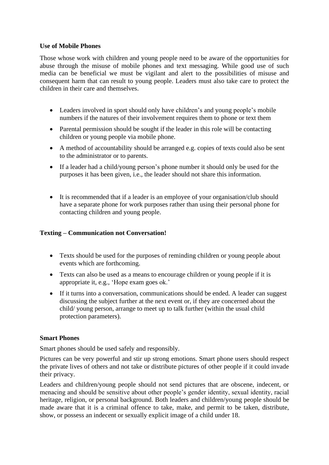#### **Use of Mobile Phones**

Those whose work with children and young people need to be aware of the opportunities for abuse through the misuse of mobile phones and text messaging. While good use of such media can be beneficial we must be vigilant and alert to the possibilities of misuse and consequent harm that can result to young people. Leaders must also take care to protect the children in their care and themselves.

- Leaders involved in sport should only have children's and young people's mobile numbers if the natures of their involvement requires them to phone or text them
- Parental permission should be sought if the leader in this role will be contacting children or young people via mobile phone.
- A method of accountability should be arranged e.g. copies of texts could also be sent to the administrator or to parents.
- If a leader had a child/young person's phone number it should only be used for the purposes it has been given, i.e., the leader should not share this information.
- It is recommended that if a leader is an employee of your organisation/club should have a separate phone for work purposes rather than using their personal phone for contacting children and young people.

## **Texting – Communication not Conversation!**

- Texts should be used for the purposes of reminding children or young people about events which are forthcoming.
- Texts can also be used as a means to encourage children or young people if it is appropriate it, e.g., 'Hope exam goes ok.'
- If it turns into a conversation, communications should be ended. A leader can suggest discussing the subject further at the next event or, if they are concerned about the child/ young person, arrange to meet up to talk further (within the usual child protection parameters).

#### **Smart Phones**

Smart phones should be used safely and responsibly.

Pictures can be very powerful and stir up strong emotions. Smart phone users should respect the private lives of others and not take or distribute pictures of other people if it could invade their privacy.

Leaders and children/young people should not send pictures that are obscene, indecent, or menacing and should be sensitive about other people's gender identity, sexual identity, racial heritage, religion, or personal background. Both leaders and children/young people should be made aware that it is a criminal offence to take, make, and permit to be taken, distribute, show, or possess an indecent or sexually explicit image of a child under 18.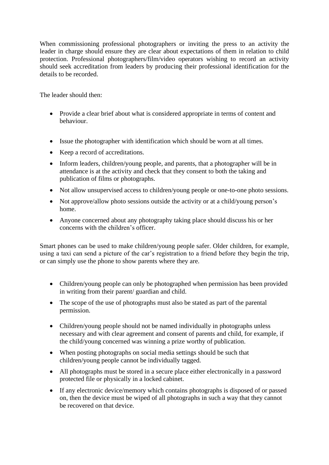When commissioning professional photographers or inviting the press to an activity the leader in charge should ensure they are clear about expectations of them in relation to child protection. Professional photographers/film/video operators wishing to record an activity should seek accreditation from leaders by producing their professional identification for the details to be recorded.

The leader should then:

- Provide a clear brief about what is considered appropriate in terms of content and behaviour.
- Issue the photographer with identification which should be worn at all times.
- Keep a record of accreditations.
- Inform leaders, children/young people, and parents, that a photographer will be in attendance is at the activity and check that they consent to both the taking and publication of films or photographs.
- Not allow unsupervised access to children/young people or one-to-one photo sessions.
- Not approve/allow photo sessions outside the activity or at a child/young person's home.
- Anyone concerned about any photography taking place should discuss his or her concerns with the children's officer.

Smart phones can be used to make children/young people safer. Older children, for example, using a taxi can send a picture of the car's registration to a friend before they begin the trip, or can simply use the phone to show parents where they are.

- Children/young people can only be photographed when permission has been provided in writing from their parent/ guardian and child.
- The scope of the use of photographs must also be stated as part of the parental permission.
- Children/young people should not be named individually in photographs unless necessary and with clear agreement and consent of parents and child, for example, if the child/young concerned was winning a prize worthy of publication.
- When posting photographs on social media settings should be such that children/young people cannot be individually tagged.
- All photographs must be stored in a secure place either electronically in a password protected file or physically in a locked cabinet.
- If any electronic device/memory which contains photographs is disposed of or passed on, then the device must be wiped of all photographs in such a way that they cannot be recovered on that device.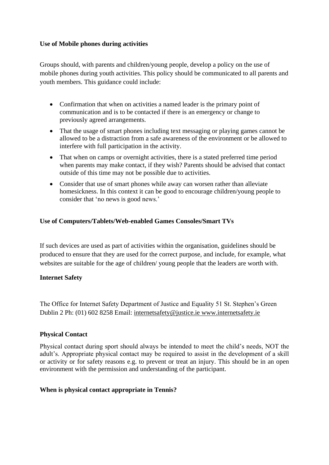## **Use of Mobile phones during activities**

Groups should, with parents and children/young people, develop a policy on the use of mobile phones during youth activities. This policy should be communicated to all parents and youth members. This guidance could include:

- Confirmation that when on activities a named leader is the primary point of communication and is to be contacted if there is an emergency or change to previously agreed arrangements.
- That the usage of smart phones including text messaging or playing games cannot be allowed to be a distraction from a safe awareness of the environment or be allowed to interfere with full participation in the activity.
- That when on camps or overnight activities, there is a stated preferred time period when parents may make contact, if they wish? Parents should be advised that contact outside of this time may not be possible due to activities.
- Consider that use of smart phones while away can worsen rather than alleviate homesickness. In this context it can be good to encourage children/young people to consider that 'no news is good news.'

## **Use of Computers/Tablets/Web-enabled Games Consoles/Smart TVs**

If such devices are used as part of activities within the organisation, guidelines should be produced to ensure that they are used for the correct purpose, and include, for example, what websites are suitable for the age of children/ young people that the leaders are worth with.

#### **Internet Safety**

The Office for Internet Safety Department of Justice and Equality 51 St. Stephen's Green Dublin 2 Ph: (01) 602 8258 Email: internetsafety@justice.ie www.internetsafety.ie

#### **Physical Contact**

Physical contact during sport should always be intended to meet the child's needs, NOT the adult's. Appropriate physical contact may be required to assist in the development of a skill or activity or for safety reasons e.g. to prevent or treat an injury. This should be in an open environment with the permission and understanding of the participant.

## **When is physical contact appropriate in Tennis?**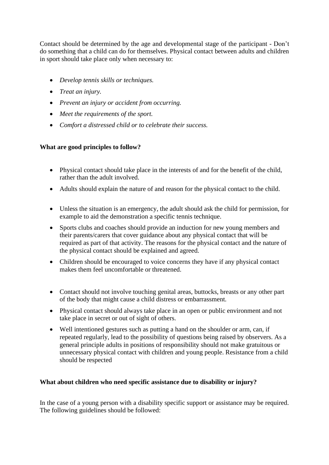Contact should be determined by the age and developmental stage of the participant - Don't do something that a child can do for themselves. Physical contact between adults and children in sport should take place only when necessary to:

- *Develop tennis skills or techniques.*
- *Treat an injury.*
- *Prevent an injury or accident from occurring.*
- *Meet the requirements of the sport.*
- *Comfort a distressed child or to celebrate their success.*

# **What are good principles to follow?**

- Physical contact should take place in the interests of and for the benefit of the child, rather than the adult involved.
- Adults should explain the nature of and reason for the physical contact to the child.
- Unless the situation is an emergency, the adult should ask the child for permission, for example to aid the demonstration a specific tennis technique.
- Sports clubs and coaches should provide an induction for new young members and their parents/carers that cover guidance about any physical contact that will be required as part of that activity. The reasons for the physical contact and the nature of the physical contact should be explained and agreed.
- Children should be encouraged to voice concerns they have if any physical contact makes them feel uncomfortable or threatened.
- Contact should not involve touching genital areas, buttocks, breasts or any other part of the body that might cause a child distress or embarrassment.
- Physical contact should always take place in an open or public environment and not take place in secret or out of sight of others.
- Well intentioned gestures such as putting a hand on the shoulder or arm, can, if repeated regularly, lead to the possibility of questions being raised by observers. As a general principle adults in positions of responsibility should not make gratuitous or unnecessary physical contact with children and young people. Resistance from a child should be respected

## **What about children who need specific assistance due to disability or injury?**

In the case of a young person with a disability specific support or assistance may be required. The following guidelines should be followed: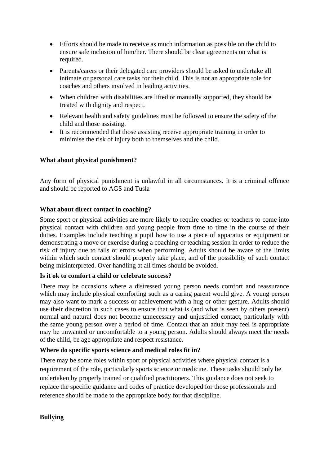- Efforts should be made to receive as much information as possible on the child to ensure safe inclusion of him/her. There should be clear agreements on what is required.
- Parents/carers or their delegated care providers should be asked to undertake all intimate or personal care tasks for their child. This is not an appropriate role for coaches and others involved in leading activities.
- When children with disabilities are lifted or manually supported, they should be treated with dignity and respect.
- Relevant health and safety guidelines must be followed to ensure the safety of the child and those assisting.
- It is recommended that those assisting receive appropriate training in order to minimise the risk of injury both to themselves and the child.

## **What about physical punishment?**

Any form of physical punishment is unlawful in all circumstances. It is a criminal offence and should be reported to AGS and Tusla

## **What about direct contact in coaching?**

Some sport or physical activities are more likely to require coaches or teachers to come into physical contact with children and young people from time to time in the course of their duties. Examples include teaching a pupil how to use a piece of apparatus or equipment or demonstrating a move or exercise during a coaching or teaching session in order to reduce the risk of injury due to falls or errors when performing. Adults should be aware of the limits within which such contact should properly take place, and of the possibility of such contact being misinterpreted. Over handling at all times should be avoided.

## **Is it ok to comfort a child or celebrate success?**

There may be occasions where a distressed young person needs comfort and reassurance which may include physical comforting such as a caring parent would give. A young person may also want to mark a success or achievement with a hug or other gesture. Adults should use their discretion in such cases to ensure that what is (and what is seen by others present) normal and natural does not become unnecessary and unjustified contact, particularly with the same young person over a period of time. Contact that an adult may feel is appropriate may be unwanted or uncomfortable to a young person. Adults should always meet the needs of the child, be age appropriate and respect resistance.

## **Where do specific sports science and medical roles fit in?**

There may be some roles within sport or physical activities where physical contact is a requirement of the role, particularly sports science or medicine. These tasks should only be undertaken by properly trained or qualified practitioners. This guidance does not seek to replace the specific guidance and codes of practice developed for those professionals and reference should be made to the appropriate body for that discipline.

## **Bullying**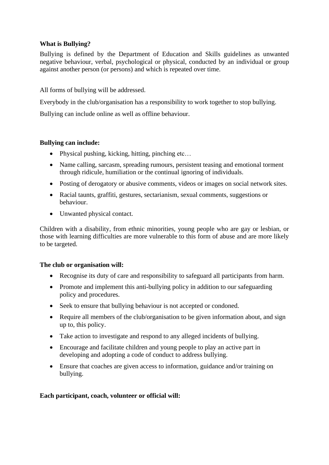## **What is Bullying?**

Bullying is defined by the Department of Education and Skills guidelines as unwanted negative behaviour, verbal, psychological or physical, conducted by an individual or group against another person (or persons) and which is repeated over time.

All forms of bullying will be addressed.

Everybody in the club/organisation has a responsibility to work together to stop bullying.

Bullying can include online as well as offline behaviour.

## **Bullying can include:**

- Physical pushing, kicking, hitting, pinching etc...
- Name calling, sarcasm, spreading rumours, persistent teasing and emotional torment through ridicule, humiliation or the continual ignoring of individuals.
- Posting of derogatory or abusive comments, videos or images on social network sites.
- Racial taunts, graffiti, gestures, sectarianism, sexual comments, suggestions or behaviour.
- Unwanted physical contact.

Children with a disability, from ethnic minorities, young people who are gay or lesbian, or those with learning difficulties are more vulnerable to this form of abuse and are more likely to be targeted.

#### **The club or organisation will:**

- Recognise its duty of care and responsibility to safeguard all participants from harm.
- Promote and implement this anti-bullying policy in addition to our safeguarding policy and procedures.
- Seek to ensure that bullying behaviour is not accepted or condoned.
- Require all members of the club/organisation to be given information about, and sign up to, this policy.
- Take action to investigate and respond to any alleged incidents of bullying.
- Encourage and facilitate children and young people to play an active part in developing and adopting a code of conduct to address bullying.
- Ensure that coaches are given access to information, guidance and/or training on bullying.

#### **Each participant, coach, volunteer or official will:**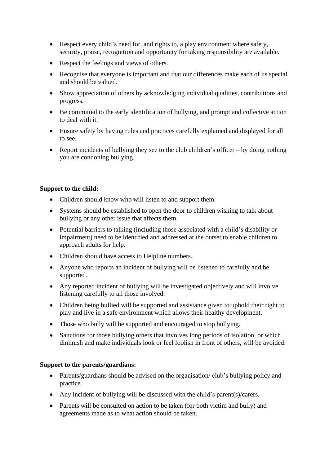- Respect every child's need for, and rights to, a play environment where safety, security, praise, recognition and opportunity for taking responsibility are available.
- Respect the feelings and views of others.
- Recognise that everyone is important and that our differences make each of us special and should be valued.
- Show appreciation of others by acknowledging individual qualities, contributions and progress.
- Be committed to the early identification of bullying, and prompt and collective action to deal with it.
- Ensure safety by having rules and practices carefully explained and displayed for all to see.
- Report incidents of bullying they see to the club children's officer by doing nothing you are condoning bullying.

#### **Support to the child:**

- Children should know who will listen to and support them.
- Systems should be established to open the door to children wishing to talk about bullying or any other issue that affects them.
- Potential barriers to talking (including those associated with a child's disability or impairment) need to be identified and addressed at the outset to enable children to approach adults for help.
- Children should have access to Helpline numbers.
- Anyone who reports an incident of bullying will be listened to carefully and be supported.
- Any reported incident of bullying will be investigated objectively and will involve listening carefully to all those involved.
- Children being bullied will be supported and assistance given to uphold their right to play and live in a safe environment which allows their healthy development.
- Those who bully will be supported and encouraged to stop bullying.
- Sanctions for those bullying others that involves long periods of isolation, or which diminish and make individuals look or feel foolish in front of others, will be avoided.

#### **Support to the parents/guardians:**

- Parents/guardians should be advised on the organisation/ club's bullying policy and practice.
- Any incident of bullying will be discussed with the child's parent(s)/carers.
- Parents will be consulted on action to be taken (for both victim and bully) and agreements made as to what action should be taken.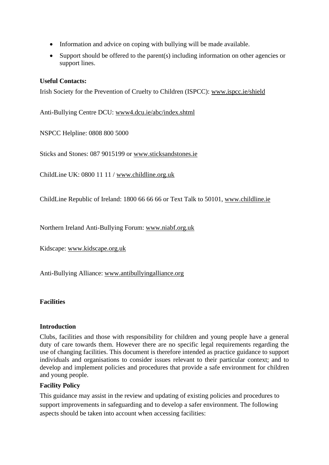- Information and advice on coping with bullying will be made available.
- Support should be offered to the parent(s) including information on other agencies or support lines.

#### **Useful Contacts:**

Irish Society for the Prevention of Cruelty to Children (ISPCC): www.ispcc.ie/shield

Anti-Bullying Centre DCU: www4.dcu.ie/abc/index.shtml

NSPCC Helpline: 0808 800 5000

Sticks and Stones: 087 9015199 or www.sticksandstones.ie

ChildLine UK: 0800 11 11 / www.childline.org.uk

ChildLine Republic of Ireland: 1800 66 66 66 or Text Talk to 50101, [www.childline.ie](http://www.childline.ie/)

Northern Ireland Anti-Bullying Forum: www.niabf.org.uk

Kidscape: www.kidscape.org.uk

Anti-Bullying Alliance: [www.antibullyingalliance.org](http://www.antibullyingalliance.org/)

#### **Facilities**

#### **Introduction**

Clubs, facilities and those with responsibility for children and young people have a general duty of care towards them. However there are no specific legal requirements regarding the use of changing facilities. This document is therefore intended as practice guidance to support individuals and organisations to consider issues relevant to their particular context; and to develop and implement policies and procedures that provide a safe environment for children and young people.

#### **Facility Policy**

This guidance may assist in the review and updating of existing policies and procedures to support improvements in safeguarding and to develop a safer environment. The following aspects should be taken into account when accessing facilities: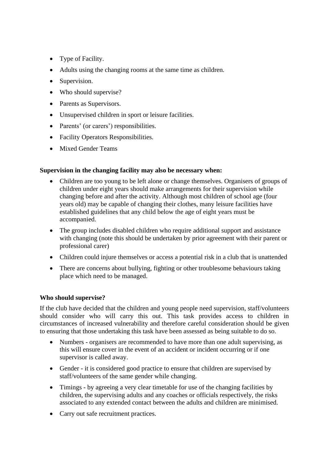- Type of Facility.
- Adults using the changing rooms at the same time as children.
- Supervision.
- Who should supervise?
- Parents as Supervisors.
- Unsupervised children in sport or leisure facilities.
- Parents' (or carers') responsibilities.
- Facility Operators Responsibilities.
- Mixed Gender Teams

## **Supervision in the changing facility may also be necessary when:**

- Children are too young to be left alone or change themselves. Organisers of groups of children under eight years should make arrangements for their supervision while changing before and after the activity. Although most children of school age (four years old) may be capable of changing their clothes, many leisure facilities have established guidelines that any child below the age of eight years must be accompanied.
- The group includes disabled children who require additional support and assistance with changing (note this should be undertaken by prior agreement with their parent or professional carer)
- Children could injure themselves or access a potential risk in a club that is unattended
- There are concerns about bullying, fighting or other troublesome behaviours taking place which need to be managed.

## **Who should supervise?**

If the club have decided that the children and young people need supervision, staff/volunteers should consider who will carry this out. This task provides access to children in circumstances of increased vulnerability and therefore careful consideration should be given to ensuring that those undertaking this task have been assessed as being suitable to do so.

- Numbers organisers are recommended to have more than one adult supervising, as this will ensure cover in the event of an accident or incident occurring or if one supervisor is called away.
- Gender it is considered good practice to ensure that children are supervised by staff/volunteers of the same gender while changing.
- Timings by agreeing a very clear timetable for use of the changing facilities by children, the supervising adults and any coaches or officials respectively, the risks associated to any extended contact between the adults and children are minimised.
- Carry out safe recruitment practices.